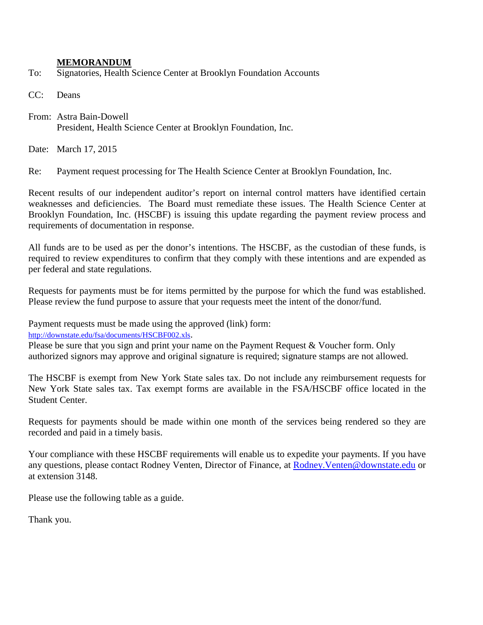## **MEMORANDUM**

To: Signatories, Health Science Center at Brooklyn Foundation Accounts

CC: Deans

From: Astra Bain-Dowell President, Health Science Center at Brooklyn Foundation, Inc.

Date: March 17, 2015

Re: Payment request processing for The Health Science Center at Brooklyn Foundation, Inc.

Recent results of our independent auditor's report on internal control matters have identified certain weaknesses and deficiencies. The Board must remediate these issues. The Health Science Center at Brooklyn Foundation, Inc. (HSCBF) is issuing this update regarding the payment review process and requirements of documentation in response.

All funds are to be used as per the donor's intentions. The HSCBF, as the custodian of these funds, is required to review expenditures to confirm that they comply with these intentions and are expended as per federal and state regulations.

Requests for payments must be for items permitted by the purpose for which the fund was established. Please review the fund purpose to assure that your requests meet the intent of the donor/fund.

Payment requests must be made using the approved (link) form:

[http://downstate.edu/fsa/documents/HSCBF002.xls.](http://downstate.edu/fsa/documents/HSCBF002.xls)

Please be sure that you sign and print your name on the Payment Request & Voucher form. Only authorized signors may approve and original signature is required; signature stamps are not allowed.

The HSCBF is exempt from New York State sales tax. Do not include any reimbursement requests for New York State sales tax. Tax exempt forms are available in the FSA/HSCBF office located in the Student Center.

Requests for payments should be made within one month of the services being rendered so they are recorded and paid in a timely basis.

Your compliance with these HSCBF requirements will enable us to expedite your payments. If you have any questions, please contact Rodney Venten, Director of Finance, at [Rodney.Venten@downstate.edu](mailto:Rodney.Venten@downstate.edu) or at extension 3148.

Please use the following table as a guide.

Thank you.